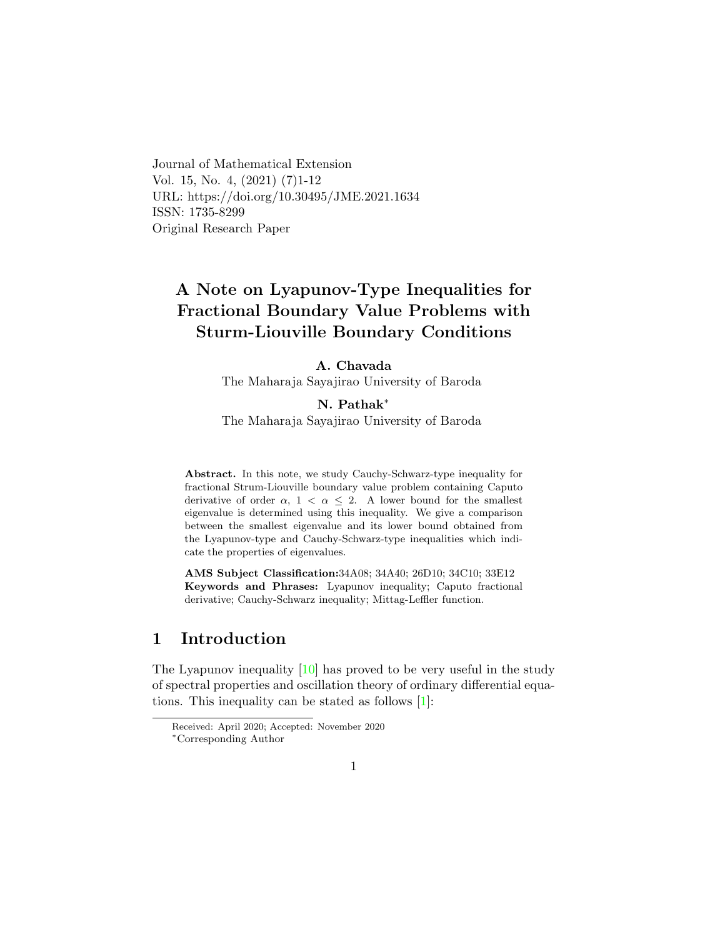Journal of Mathematical Extension Vol. 15, No. 4, (2021) (7)1-12 URL: https://doi.org/10.30495/JME.2021.1634 ISSN: 1735-8299 Original Research Paper

# A Note on Lyapunov-Type Inequalities for Fractional Boundary Value Problems with Sturm-Liouville Boundary Conditions

### A. Chavada

The Maharaja Sayajirao University of Baroda

N. Pathak[∗](#page-0-0)

The Maharaja Sayajirao University of Baroda

Abstract. In this note, we study Cauchy-Schwarz-type inequality for fractional Strum-Liouville boundary value problem containing Caputo derivative of order  $\alpha$ , 1 <  $\alpha$   $\leq$  2. A lower bound for the smallest eigenvalue is determined using this inequality. We give a comparison between the smallest eigenvalue and its lower bound obtained from the Lyapunov-type and Cauchy-Schwarz-type inequalities which indicate the properties of eigenvalues.

AMS Subject Classification:34A08; 34A40; 26D10; 34C10; 33E12 Keywords and Phrases: Lyapunov inequality; Caputo fractional derivative; Cauchy-Schwarz inequality; Mittag-Leffler function.

## 1 Introduction

The Lyapunov inequality  $[10]$  has proved to be very useful in the study of spectral properties and oscillation theory of ordinary differential equations. This inequality can be stated as follows [\[1\]](#page-10-1):

Received: April 2020; Accepted: November 2020

<span id="page-0-0"></span><sup>∗</sup>Corresponding Author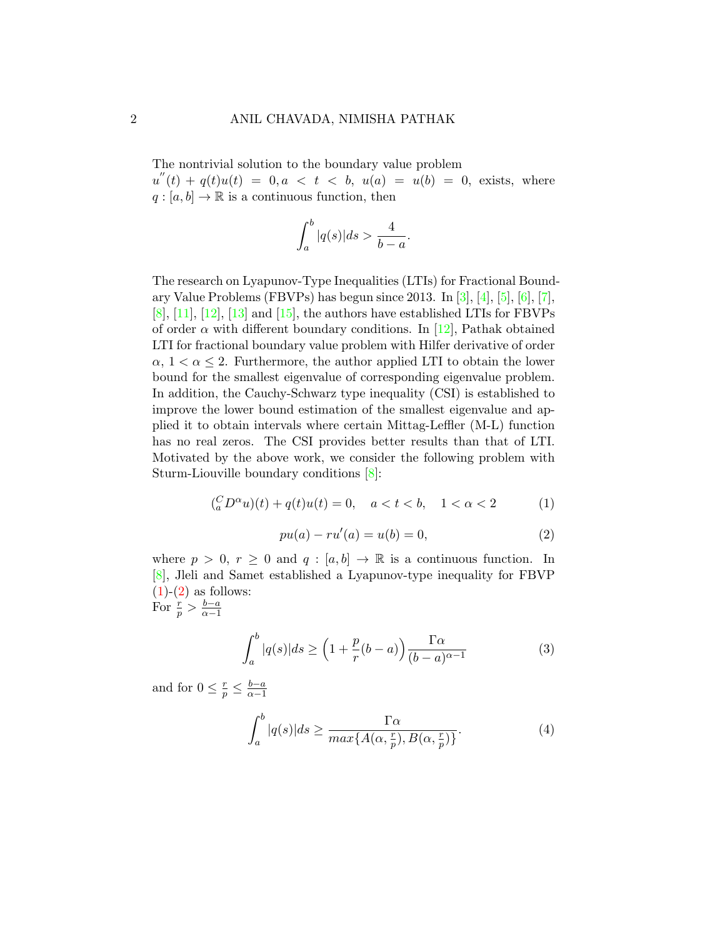The nontrivial solution to the boundary value problem

 $u''(t) + q(t)u(t) = 0, a < t < b, u(a) = u(b) = 0$ , exists, where  $q : [a, b] \to \mathbb{R}$  is a continuous function, then

$$
\int_{a}^{b} |q(s)| ds > \frac{4}{b-a}.
$$

The research on Lyapunov-Type Inequalities (LTIs) for Fractional Boundary Value Problems (FBVPs) has begun since 2013. In  $[3]$ ,  $[4]$ ,  $[5]$ ,  $[6]$ ,  $[7]$ ,  $[8]$ ,  $[11]$ ,  $[12]$ ,  $[13]$  and  $[15]$ , the authors have established LTIs for FBVPs of order  $\alpha$  with different boundary conditions. In [\[12\]](#page-11-1), Pathak obtained LTI for fractional boundary value problem with Hilfer derivative of order  $\alpha$ ,  $1 < \alpha \leq 2$ . Furthermore, the author applied LTI to obtain the lower bound for the smallest eigenvalue of corresponding eigenvalue problem. In addition, the Cauchy-Schwarz type inequality (CSI) is established to improve the lower bound estimation of the smallest eigenvalue and applied it to obtain intervals where certain Mittag-Leffler (M-L) function has no real zeros. The CSI provides better results than that of LTI. Motivated by the above work, we consider the following problem with Sturm-Liouville boundary conditions [\[8\]](#page-10-7):

<span id="page-1-0"></span>
$$
(_{a}^{C}D^{\alpha}u)(t) + q(t)u(t) = 0, \quad a < t < b, \quad 1 < \alpha < 2
$$
 (1)

<span id="page-1-1"></span>
$$
pu(a) - ru'(a) = u(b) = 0,
$$
\n(2)

where  $p > 0$ ,  $r \geq 0$  and  $q : [a, b] \to \mathbb{R}$  is a continuous function. In [\[8\]](#page-10-7), Jleli and Samet established a Lyapunov-type inequality for FBVP  $(1)-(2)$  $(1)-(2)$  $(1)-(2)$  as follows:

For 
$$
\frac{r}{p} > \frac{b-a}{\alpha-1}
$$

<span id="page-1-2"></span>
$$
\int_{a}^{b} |q(s)| ds \ge \left(1 + \frac{p}{r}(b-a)\right) \frac{\Gamma \alpha}{(b-a)^{\alpha - 1}}\tag{3}
$$

and for  $0 \leq \frac{r}{p} \leq \frac{b-a}{\alpha-1}$  $\alpha-1$ 

<span id="page-1-3"></span>
$$
\int_{a}^{b} |q(s)| ds \ge \frac{\Gamma \alpha}{\max\{A(\alpha, \frac{r}{p}), B(\alpha, \frac{r}{p})\}}.
$$
\n(4)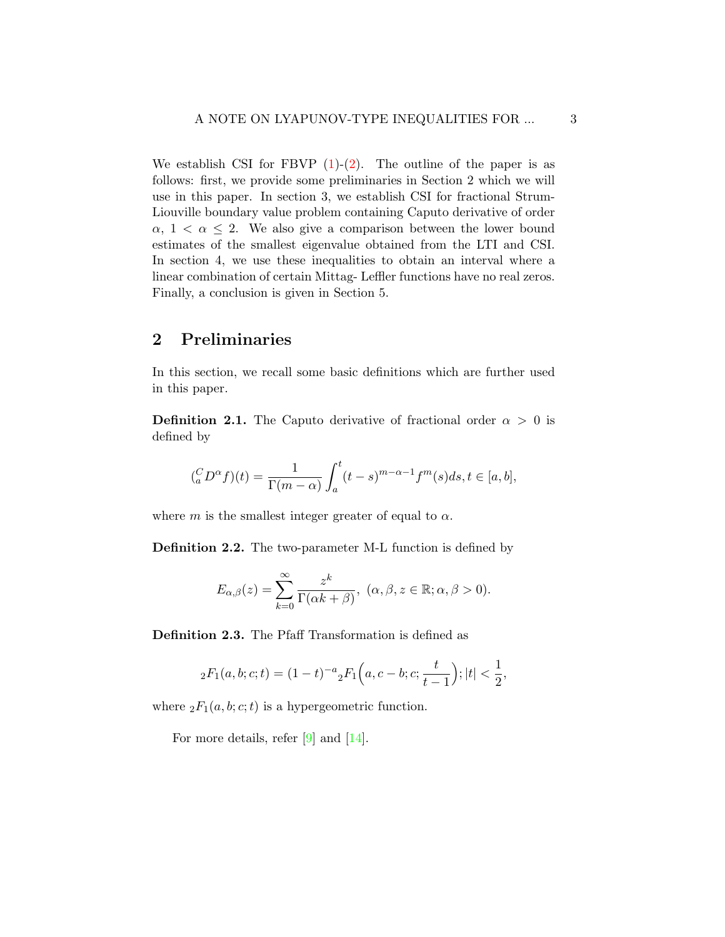We establish CSI for FBVP  $(1)-(2)$  $(1)-(2)$ . The outline of the paper is as follows: first, we provide some preliminaries in Section 2 which we will use in this paper. In section 3, we establish CSI for fractional Strum-Liouville boundary value problem containing Caputo derivative of order  $\alpha$ ,  $1 < \alpha \leq 2$ . We also give a comparison between the lower bound estimates of the smallest eigenvalue obtained from the LTI and CSI. In section 4, we use these inequalities to obtain an interval where a linear combination of certain Mittag- Leffler functions have no real zeros. Finally, a conclusion is given in Section 5.

## 2 Preliminaries

In this section, we recall some basic definitions which are further used in this paper.

**Definition 2.1.** The Caputo derivative of fractional order  $\alpha > 0$  is defined by

$$
\binom{C}{a}D^{\alpha}f(t) = \frac{1}{\Gamma(m-\alpha)} \int_a^t (t-s)^{m-\alpha-1} f^m(s)ds, t \in [a, b],
$$

where m is the smallest integer greater of equal to  $\alpha$ .

Definition 2.2. The two-parameter M-L function is defined by

$$
E_{\alpha,\beta}(z) = \sum_{k=0}^{\infty} \frac{z^k}{\Gamma(\alpha k + \beta)}, \ (\alpha,\beta,z \in \mathbb{R}; \alpha,\beta > 0).
$$

Definition 2.3. The Pfaff Transformation is defined as

$$
{}_2F_1(a,b;c;t) = (1-t)^{-a} {}_2F_1(a,c-b;c;\frac{t}{t-1}); |t| < \frac{1}{2},
$$

where  ${}_2F_1(a, b; c; t)$  is a hypergeometric function.

For more details, refer [\[9\]](#page-10-8) and [\[14\]](#page-11-4).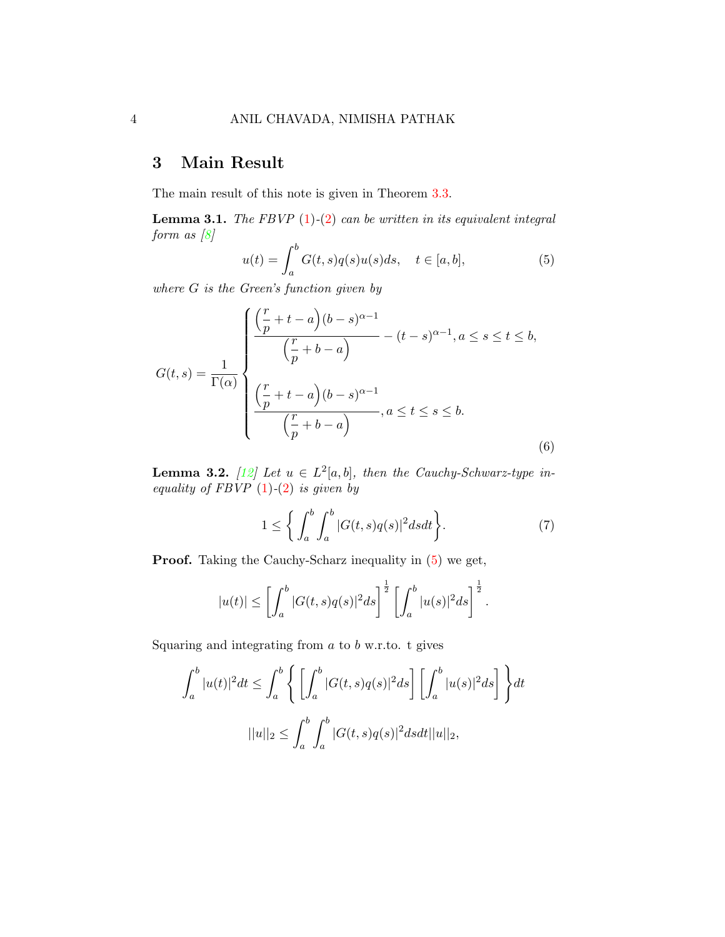## 3 Main Result

The main result of this note is given in Theorem [3.3.](#page-4-0)

**Lemma 3.1.** The FBVP  $(1)-(2)$  $(1)-(2)$  $(1)-(2)$  can be written in its equivalent integral form as  $[8]$ 

<span id="page-3-0"></span>
$$
u(t) = \int_{a}^{b} G(t,s)q(s)u(s)ds, \quad t \in [a,b],
$$
 (5)

where G is the Green's function given by

<span id="page-3-2"></span>
$$
G(t,s) = \frac{1}{\Gamma(\alpha)} \begin{cases} \frac{\left(\frac{r}{p} + t - a\right)(b-s)^{\alpha-1}}{\left(\frac{r}{p} + b - a\right)} - (t-s)^{\alpha-1}, a \le s \le t \le b, \\ \frac{\left(\frac{r}{p} + t - a\right)(b-s)^{\alpha-1}}{\left(\frac{r}{p} + b - a\right)}, a \le t \le s \le b. \end{cases}
$$
\n
$$
(6)
$$

**Lemma 3.2.** [\[12\]](#page-11-1) Let  $u \in L^2[a, b]$ , then the Cauchy-Schwarz-type inequality of FBVP  $(1)-(2)$  $(1)-(2)$  $(1)-(2)$  is given by

<span id="page-3-1"></span>
$$
1 \le \left\{ \int_{a}^{b} \int_{a}^{b} |G(t,s)q(s)|^{2} ds dt \right\}.
$$
 (7)

Proof. Taking the Cauchy-Scharz inequality in [\(5\)](#page-3-0) we get,

$$
|u(t)| \leq \left[ \int_a^b |G(t,s)q(s)|^2 ds \right]^{\frac{1}{2}} \left[ \int_a^b |u(s)|^2 ds \right]^{\frac{1}{2}}.
$$

Squaring and integrating from  $a$  to  $b$  w.r.to. t gives

$$
\int_a^b |u(t)|^2 dt \le \int_a^b \left\{ \left[ \int_a^b |G(t,s)q(s)|^2 ds \right] \left[ \int_a^b |u(s)|^2 ds \right] \right\} dt
$$

$$
||u||_2 \le \int_a^b \int_a^b |G(t,s)q(s)|^2 ds dt ||u||_2,
$$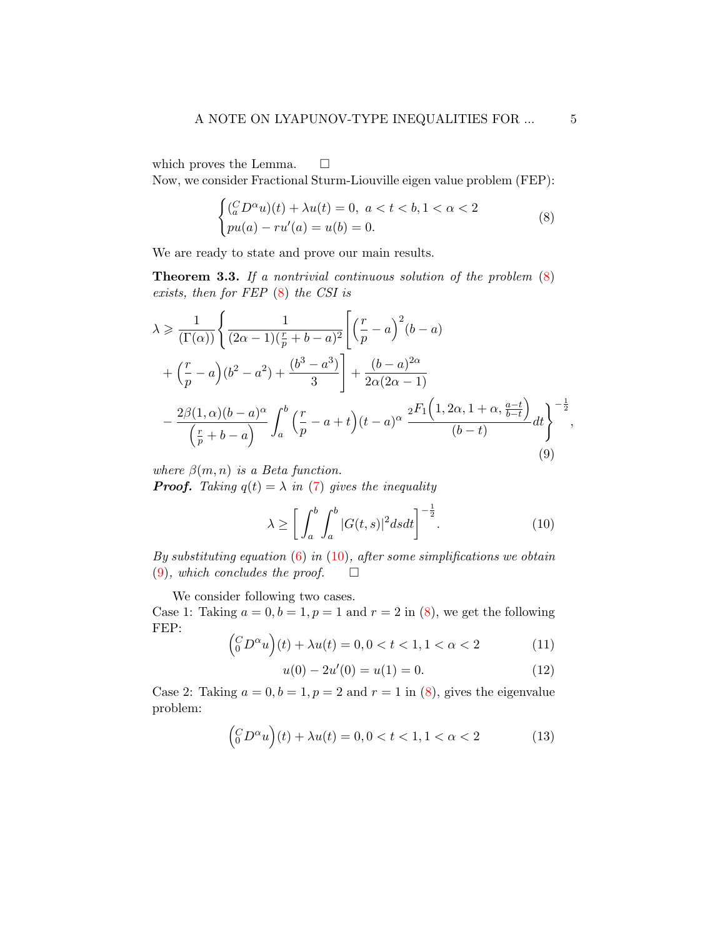which proves the Lemma.  $\square$ 

Now, we consider Fractional Sturm-Liouville eigen value problem (FEP):

<span id="page-4-1"></span>
$$
\begin{cases}\n(\substack{C\\a}D^{\alpha}u)(t) + \lambda u(t) = 0, \ a < t < b, 1 < \alpha < 2 \\
pu(a) - ru'(a) = u(b) = 0.\n\end{cases}
$$
\n(8)

We are ready to state and prove our main results.

<span id="page-4-0"></span>**Theorem 3.3.** If a nontrivial continuous solution of the problem  $(8)$ exists, then for FEP [\(8\)](#page-4-1) the CSI is

<span id="page-4-3"></span>
$$
\lambda \geq \frac{1}{(\Gamma(\alpha))} \left\{ \frac{1}{(2\alpha - 1)\left(\frac{r}{p} + b - a\right)^2} \left[ \left(\frac{r}{p} - a\right)^2 (b - a) \right. \\ \left. + \left(\frac{r}{p} - a\right) (b^2 - a^2) + \frac{(b^3 - a^3)}{3} \right] + \frac{(b - a)^{2\alpha}}{2\alpha (2\alpha - 1)} \\ \left. - \frac{2\beta (1, \alpha)(b - a)^{\alpha}}{\left(\frac{r}{p} + b - a\right)} \int_a^b \left(\frac{r}{p} - a + t\right) (t - a)^{\alpha} \frac{2F_1 \left(1, 2\alpha, 1 + \alpha, \frac{a - t}{b - t}\right)}{(b - t)} dt \right\}^{-\frac{1}{2}},
$$
\n(9)

where  $\beta(m, n)$  is a Beta function.

**Proof.** Taking  $q(t) = \lambda$  in [\(7\)](#page-3-1) gives the inequality

<span id="page-4-2"></span>
$$
\lambda \ge \left[ \int_{a}^{b} \int_{a}^{b} |G(t,s)|^{2} ds dt \right]^{-\frac{1}{2}}.
$$
\n(10)

By substituting equation  $(6)$  in  $(10)$ , after some simplifications we obtain  $(9)$ , which concludes the proof.  $\square$ 

We consider following two cases.

Case 1: Taking  $a = 0, b = 1, p = 1$  and  $r = 2$  in [\(8\)](#page-4-1), we get the following FEP:  $\overline{ }$ 

<span id="page-4-4"></span>
$$
\left(\begin{array}{c} C_D \alpha u \\ 0 \end{array}\right)(t) + \lambda u(t) = 0, 0 < t < 1, 1 < \alpha < 2 \tag{11}
$$

<span id="page-4-5"></span>
$$
u(0) - 2u'(0) = u(1) = 0.
$$
\n(12)

Case 2: Taking  $a = 0, b = 1, p = 2$  and  $r = 1$  in [\(8\)](#page-4-1), gives the eigenvalue problem:

<span id="page-4-6"></span>
$$
\left(\begin{array}{c} C D^{\alpha} u \\ 0 \end{array}\right)(t) + \lambda u(t) = 0, 0 < t < 1, 1 < \alpha < 2 \tag{13}
$$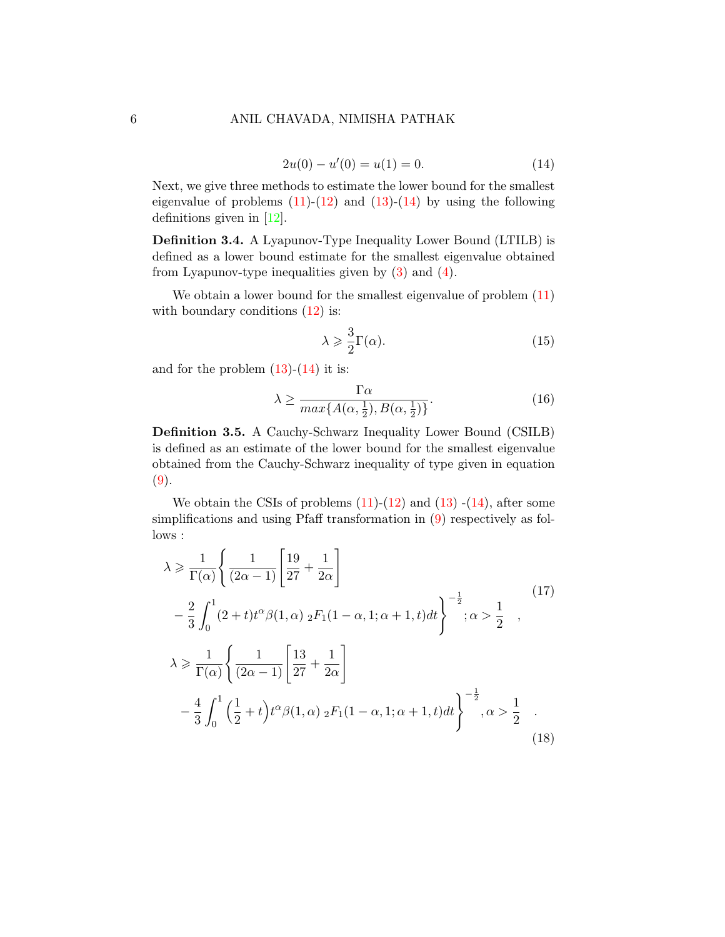<span id="page-5-0"></span>
$$
2u(0) - u'(0) = u(1) = 0.
$$
\n(14)

Next, we give three methods to estimate the lower bound for the smallest eigenvalue of problems  $(11)-(12)$  $(11)-(12)$  and  $(13)-(14)$  $(13)-(14)$  by using the following definitions given in [\[12\]](#page-11-1).

Definition 3.4. A Lyapunov-Type Inequality Lower Bound (LTILB) is defined as a lower bound estimate for the smallest eigenvalue obtained from Lyapunov-type inequalities given by  $(3)$  and  $(4)$ .

We obtain a lower bound for the smallest eigenvalue of problem  $(11)$ with boundary conditions  $(12)$  is:

<span id="page-5-3"></span>
$$
\lambda \geqslant \frac{3}{2} \Gamma(\alpha). \tag{15}
$$

and for the problem  $(13)-(14)$  $(13)-(14)$  it is:

<span id="page-5-4"></span>
$$
\lambda \ge \frac{\Gamma \alpha}{\max\{A(\alpha, \frac{1}{2}), B(\alpha, \frac{1}{2})\}}.\tag{16}
$$

Definition 3.5. A Cauchy-Schwarz Inequality Lower Bound (CSILB) is defined as an estimate of the lower bound for the smallest eigenvalue obtained from the Cauchy-Schwarz inequality of type given in equation [\(9\)](#page-4-3).

We obtain the CSIs of problems  $(11)-(12)$  $(11)-(12)$  and  $(13)-(14)$  $(13)-(14)$ , after some simplifications and using Pfaff transformation in [\(9\)](#page-4-3) respectively as follows :

<span id="page-5-2"></span><span id="page-5-1"></span>
$$
\lambda \ge \frac{1}{\Gamma(\alpha)} \left\{ \frac{1}{(2\alpha - 1)} \left[ \frac{19}{27} + \frac{1}{2\alpha} \right] - \frac{2}{3} \int_0^1 (2 + t) t^{\alpha} \beta(1, \alpha) \, _2F_1(1 - \alpha, 1; \alpha + 1, t) dt \right\}^{-\frac{1}{2}}; \alpha > \frac{1}{2} ,
$$
\n
$$
\lambda \ge \frac{1}{\Gamma(\alpha)} \left\{ \frac{1}{(2\alpha - 1)} \left[ \frac{13}{27} + \frac{1}{2\alpha} \right] - \frac{4}{3} \int_0^1 \left( \frac{1}{2} + t \right) t^{\alpha} \beta(1, \alpha) \, _2F_1(1 - \alpha, 1; \alpha + 1, t) dt \right\}^{-\frac{1}{2}}; \alpha > \frac{1}{2} .
$$
\n(18)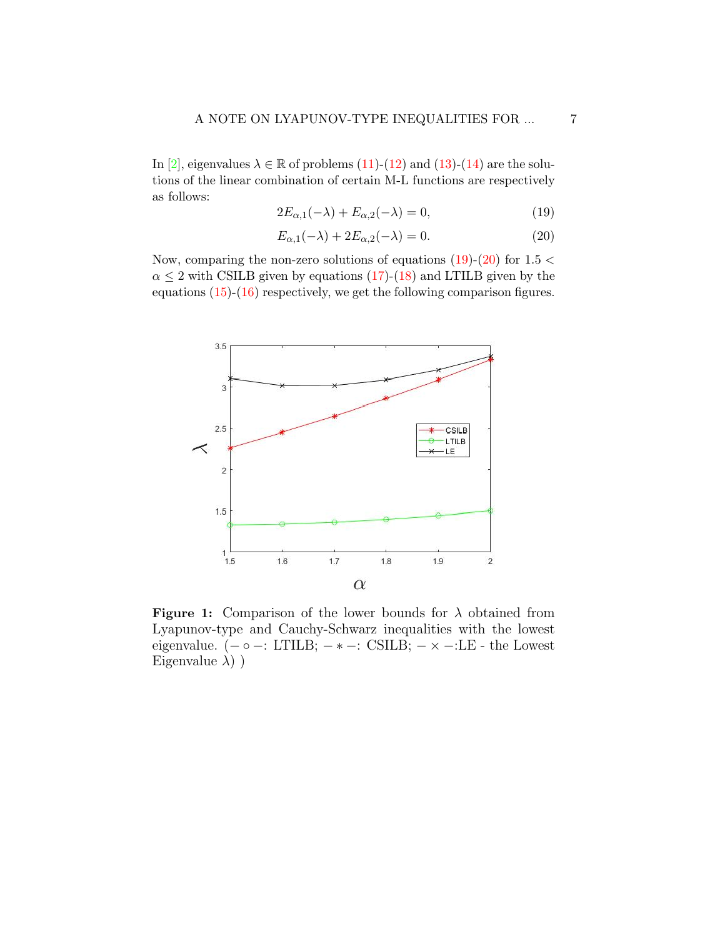In [\[2\]](#page-10-9), eigenvalues  $\lambda \in \mathbb{R}$  of problems [\(11\)](#page-4-4)-[\(12\)](#page-4-5) and [\(13\)](#page-4-6)-[\(14\)](#page-5-0) are the solutions of the linear combination of certain M-L functions are respectively as follows:

<span id="page-6-0"></span>
$$
2E_{\alpha,1}(-\lambda) + E_{\alpha,2}(-\lambda) = 0,\t\t(19)
$$

<span id="page-6-1"></span>
$$
E_{\alpha,1}(-\lambda) + 2E_{\alpha,2}(-\lambda) = 0.
$$
\n(20)

Now, comparing the non-zero solutions of equations  $(19)-(20)$  $(19)-(20)$  for  $1.5 <$  $\alpha \leq 2$  with CSILB given by equations [\(17\)](#page-5-1)-[\(18\)](#page-5-2) and LTILB given by the equations  $(15)-(16)$  $(15)-(16)$  respectively, we get the following comparison figures.



**Figure 1:** Comparison of the lower bounds for  $\lambda$  obtained from Lyapunov-type and Cauchy-Schwarz inequalities with the lowest eigenvalue.  $(- \circ -: LTLB; -* -: CSILB; - \times -: LE -$  the Lowest Eigenvalue  $\lambda$ ) )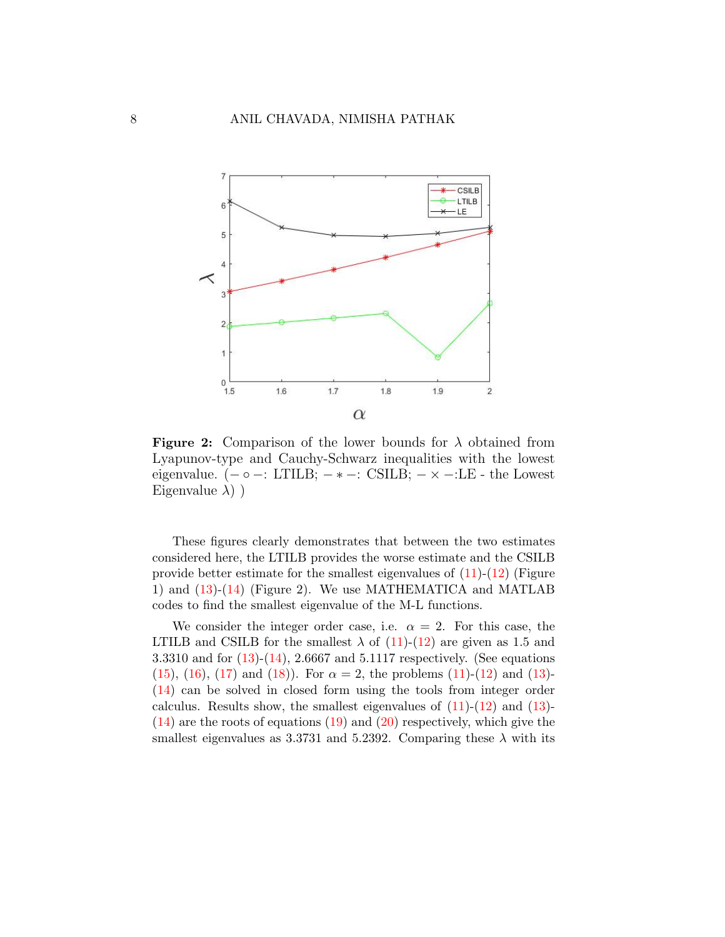

**Figure 2:** Comparison of the lower bounds for  $\lambda$  obtained from Lyapunov-type and Cauchy-Schwarz inequalities with the lowest eigenvalue.  $(-\circ -: LTLB; -*-.$  CSILB;  $-\times -:LE$  - the Lowest Eigenvalue  $\lambda$ ) )

These figures clearly demonstrates that between the two estimates considered here, the LTILB provides the worse estimate and the CSILB provide better estimate for the smallest eigenvalues of  $(11)-(12)$  $(11)-(12)$  (Figure 1) and [\(13\)](#page-4-6)-[\(14\)](#page-5-0) (Figure 2). We use MATHEMATICA and MATLAB codes to find the smallest eigenvalue of the M-L functions.

We consider the integer order case, i.e.  $\alpha = 2$ . For this case, the LTILB and CSILB for the smallest  $\lambda$  of [\(11\)](#page-4-4)-[\(12\)](#page-4-5) are given as 1.5 and 3.3310 and for [\(13\)](#page-4-6)-[\(14\)](#page-5-0), 2.6667 and 5.1117 respectively. (See equations [\(15\)](#page-5-3), [\(16\)](#page-5-4), [\(17\)](#page-5-1) and [\(18\)](#page-5-2)). For  $\alpha = 2$ , the problems [\(11\)](#page-4-4)-[\(12\)](#page-4-5) and [\(13\)](#page-4-6)-[\(14\)](#page-5-0) can be solved in closed form using the tools from integer order calculus. Results show, the smallest eigenvalues of  $(11)-(12)$  $(11)-(12)$  and  $(13)-$ [\(14\)](#page-5-0) are the roots of equations [\(19\)](#page-6-0) and [\(20\)](#page-6-1) respectively, which give the smallest eigenvalues as 3.3731 and 5.2392. Comparing these  $\lambda$  with its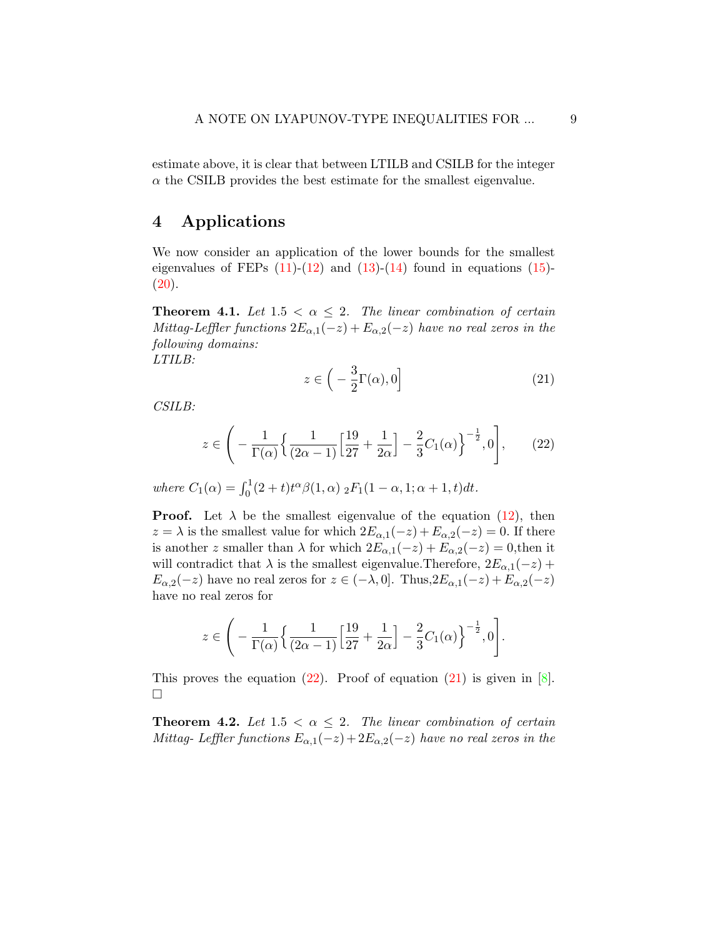estimate above, it is clear that between LTILB and CSILB for the integer  $\alpha$  the CSILB provides the best estimate for the smallest eigenvalue.

### 4 Applications

We now consider an application of the lower bounds for the smallest eigenvalues of FEPs  $(11)-(12)$  $(11)-(12)$  and  $(13)-(14)$  $(13)-(14)$  found in equations  $(15) (20).$  $(20).$ 

<span id="page-8-2"></span>**Theorem 4.1.** Let  $1.5 < \alpha \leq 2$ . The linear combination of certain Mittag-Leffler functions  $2E_{\alpha,1}(-z) + E_{\alpha,2}(-z)$  have no real zeros in the following domains:

LTILB:

<span id="page-8-1"></span>
$$
z \in \left( -\frac{3}{2}\Gamma(\alpha), 0 \right] \tag{21}
$$

CSILB:

<span id="page-8-0"></span>
$$
z \in \left(-\frac{1}{\Gamma(\alpha)} \left\{ \frac{1}{(2\alpha - 1)} \left[ \frac{19}{27} + \frac{1}{2\alpha} \right] - \frac{2}{3} C_1(\alpha) \right\}^{-\frac{1}{2}}, 0\right],\tag{22}
$$

where  $C_1(\alpha) = \int_0^1 (2+t)t^{\alpha} \beta(1,\alpha) \frac{1}{2} F_1(1-\alpha, 1; \alpha+1, t) dt$ .

**Proof.** Let  $\lambda$  be the smallest eigenvalue of the equation [\(12\)](#page-4-5), then  $z = \lambda$  is the smallest value for which  $2E_{\alpha,1}(-z) + E_{\alpha,2}(-z) = 0$ . If there is another z smaller than  $\lambda$  for which  $2E_{\alpha,1}(-z) + E_{\alpha,2}(-z) = 0$ , then it will contradict that  $\lambda$  is the smallest eigenvalue. Therefore,  $2E_{\alpha,1}(-z)$  +  $E_{\alpha,2}(-z)$  have no real zeros for  $z \in (-\lambda,0]$ . Thus,  $2E_{\alpha,1}(-z) + E_{\alpha,2}(-z)$ have no real zeros for

$$
z \in \left(-\frac{1}{\Gamma(\alpha)} \left\{ \frac{1}{(2\alpha-1)} \left[ \frac{19}{27} + \frac{1}{2\alpha} \right] - \frac{2}{3} C_1(\alpha) \right\}^{-\frac{1}{2}}, 0\right].
$$

This proves the equation  $(22)$ . Proof of equation  $(21)$  is given in [\[8\]](#page-10-7).  $\Box$ 

**Theorem 4.2.** Let  $1.5 < \alpha \leq 2$ . The linear combination of certain Mittag- Leffler functions  $E_{\alpha,1}(-z) + 2E_{\alpha,2}(-z)$  have no real zeros in the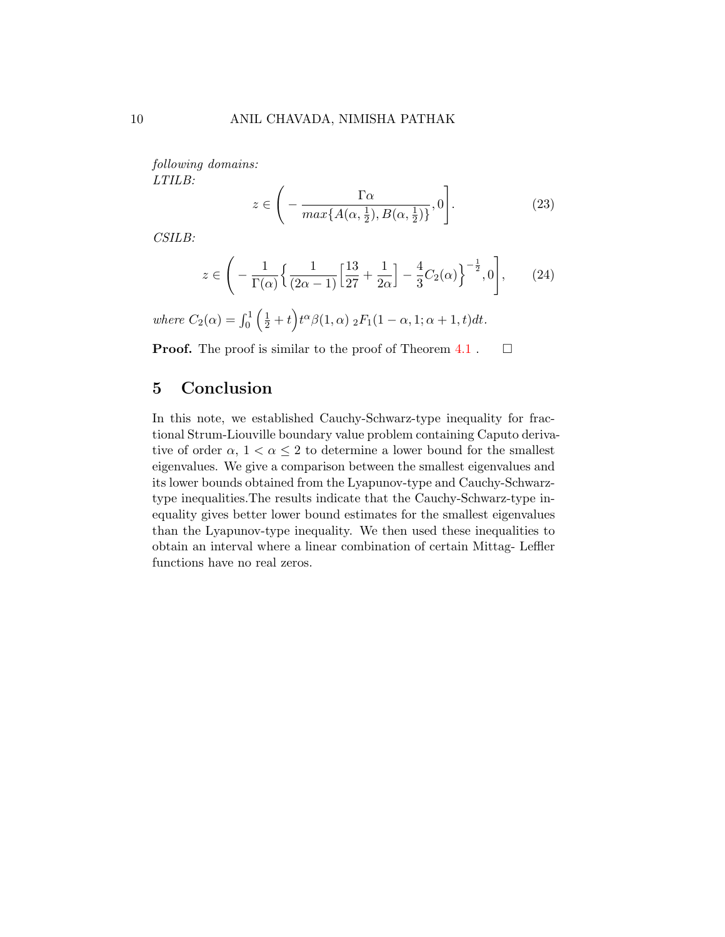following domains: LTILB:

$$
z \in \left( -\frac{\Gamma \alpha}{\max\{A(\alpha, \frac{1}{2}), B(\alpha, \frac{1}{2})\}}, 0 \right). \tag{23}
$$

CSILB:

$$
z \in \left(-\frac{1}{\Gamma(\alpha)} \left\{ \frac{1}{(2\alpha - 1)} \left[ \frac{13}{27} + \frac{1}{2\alpha} \right] - \frac{4}{3} C_2(\alpha) \right\}^{-\frac{1}{2}}, 0\right],\tag{24}
$$

where  $C_2(\alpha) = \int_0^1 (\frac{1}{2} + t)^{\alpha} \beta(1, \alpha) \frac{1}{2} F_1(1 - \alpha, 1; \alpha + 1, t) dt$ .

**Proof.** The proof is similar to the proof of Theorem  $4.1$ .  $\Box$ 

## 5 Conclusion

In this note, we established Cauchy-Schwarz-type inequality for fractional Strum-Liouville boundary value problem containing Caputo derivative of order  $\alpha$ ,  $1 < \alpha \leq 2$  to determine a lower bound for the smallest eigenvalues. We give a comparison between the smallest eigenvalues and its lower bounds obtained from the Lyapunov-type and Cauchy-Schwarztype inequalities.The results indicate that the Cauchy-Schwarz-type inequality gives better lower bound estimates for the smallest eigenvalues than the Lyapunov-type inequality. We then used these inequalities to obtain an interval where a linear combination of certain Mittag- Leffler functions have no real zeros.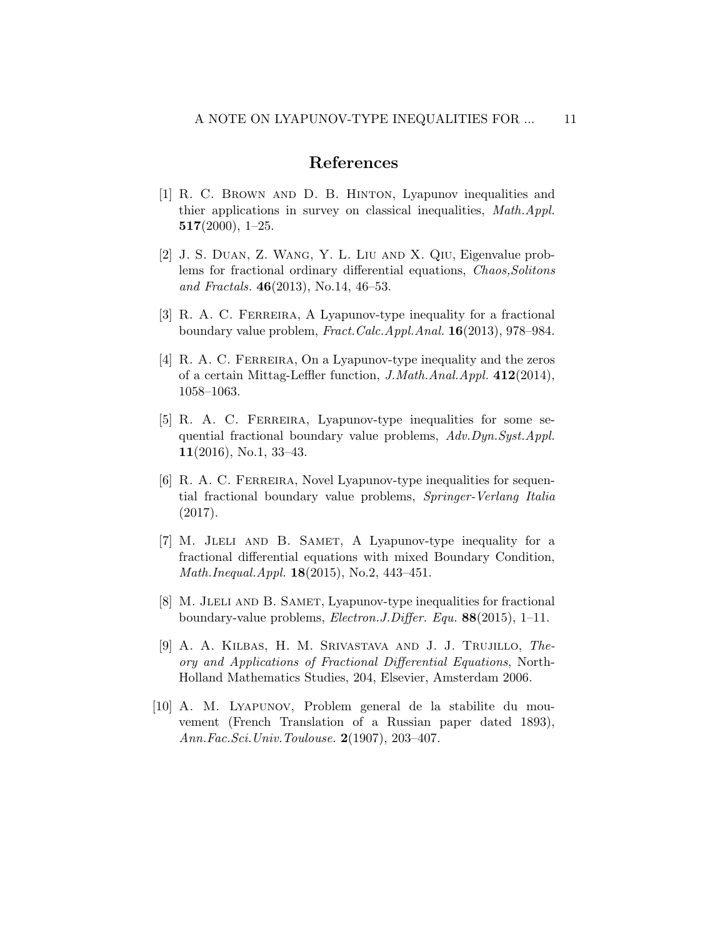## References

- <span id="page-10-1"></span>[1] R. C. Brown and D. B. Hinton, Lyapunov inequalities and thier applications in survey on classical inequalities, Math.Appl.  $517(2000), 1-25.$
- <span id="page-10-9"></span>[2] J. S. Duan, Z. Wang, Y. L. Liu and X. Qiu, Eigenvalue problems for fractional ordinary differential equations, Chaos,Solitons and Fractals.  $46(2013)$ , No.14,  $46-53$ .
- <span id="page-10-2"></span>[3] R. A. C. FERREIRA, A Lyapunov-type inequality for a fractional boundary value problem, Fract.Calc.Appl.Anal. 16(2013), 978–984.
- <span id="page-10-3"></span>[4] R. A. C. FERREIRA, On a Lyapunov-type inequality and the zeros of a certain Mittag-Leffler function, J.Math.Anal.Appl. 412(2014), 1058–1063.
- <span id="page-10-4"></span>[5] R. A. C. FERREIRA, Lyapunov-type inequalities for some sequential fractional boundary value problems,  $Adv.Dyn.Syst. Appl.$ 11(2016), No.1, 33–43.
- <span id="page-10-5"></span>[6] R. A. C. FERREIRA, Novel Lyapunov-type inequalities for sequential fractional boundary value problems, Springer-Verlang Italia (2017).
- <span id="page-10-6"></span>[7] M. JLELI AND B. SAMET, A Lyapunov-type inequality for a fractional differential equations with mixed Boundary Condition, Math.Inequal.Appl. 18(2015), No.2, 443–451.
- <span id="page-10-7"></span>[8] M. JLELI AND B. SAMET, Lyapunov-type inequalities for fractional boundary-value problems, Electron.J.Differ. Equ. 88(2015), 1–11.
- <span id="page-10-8"></span>[9] A. A. Kilbas, H. M. Srivastava and J. J. Trujillo, Theory and Applications of Fractional Differential Equations, North-Holland Mathematics Studies, 204, Elsevier, Amsterdam 2006.
- <span id="page-10-0"></span>[10] A. M. Lyapunov, Problem general de la stabilite du mouvement (French Translation of a Russian paper dated 1893), Ann.Fac.Sci.Univ.Toulouse. 2(1907), 203–407.